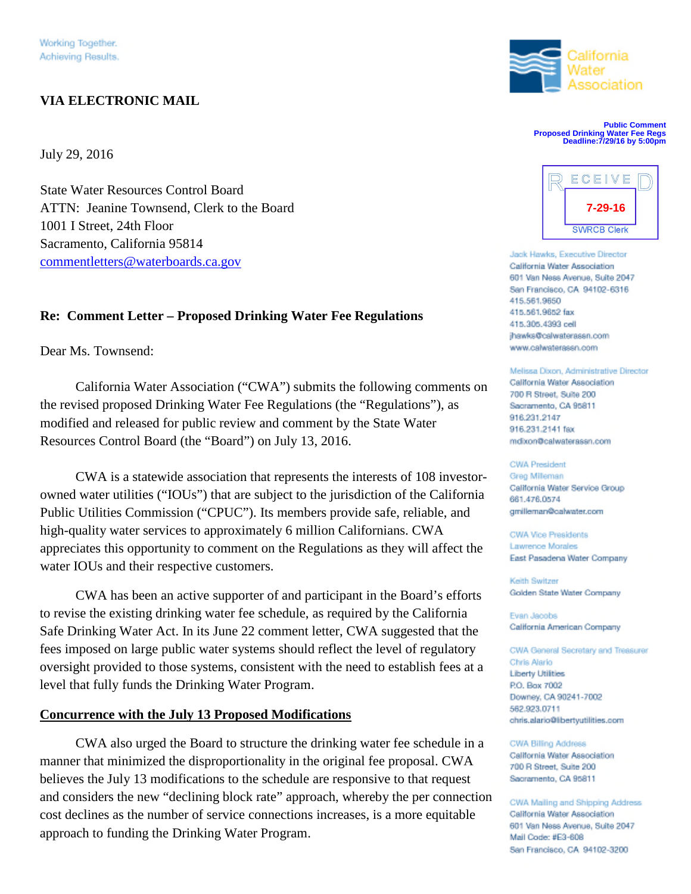# **VIA ELECTRONIC MAIL**

July 29, 2016

State Water Resources Control Board ATTN: Jeanine Townsend, Clerk to the Board 1001 I Street, 24th Floor Sacramento, California 95814 commentletters@waterboards.ca.gov

## **Re: Comment Letter – Proposed Drinking Water Fee Regulations**

Dear Ms. Townsend:

California Water Association ("CWA") submits the following comments on<br>
700 B Street, Suite 200 the revised proposed Drinking Water Fee Regulations (the "Regulations"), as modified and released for public review and comment by the State Water Resources Control Board (the "Board") on July 13, 2016.

CWA is a statewide association that represents the interests of 108 investorowned water utilities ("IOUs") that are subject to the jurisdiction of the California Public Utilities Commission ("CPUC"). Its members provide safe, reliable, and high-quality water services to approximately 6 million Californians. CWA appreciates this opportunity to comment on the Regulations as they will affect the water IOUs and their respective customers.

CWA has been an active supporter of and participant in the Board's efforts to revise the existing drinking water fee schedule, as required by the California Safe Drinking Water Act. In its June 22 comment letter, CWA suggested that the fees imposed on large public water systems should reflect the level of regulatory oversight provided to those systems, consistent with the need to establish fees at a **Chris Alario** level that fully funds the Drinking Water Program.

## **Concurrence with the July 13 Proposed Modifications**

CWA also urged the Board to structure the drinking water fee schedule in a CWA Billing Address manner that minimized the disproportionality in the original fee proposal. CWA believes the July 13 modifications to the schedule are responsive to that request and considers the new "declining block rate" approach, whereby the per connection cost declines as the number of service connections increases, is a more equitable approach to funding the Drinking Water Program.



**Public Comment Proposed Drinking Water Fee Regs Deadline:7/29/16 by 5:00pm**



Jack Hawks, Executive Director California Water Association 601 Van Ness Avenue, Suite 2047 San Francisco, CA 94102-6316 415.561.9650 415.561.9652 fax 415.305.4393 cell jhawks@calwaterassn.com www.calwaterassn.com

Melissa Dixon, Administrative Director Sacramento, CA 95811 916.231.2147 916.231.2141 fax mdixon@calwaterassn.com

#### **CWA President**

Greg Milleman California Water Service Group 661.476.0574 gmilleman@calwater.com

CWA Vice Presidents Lawrence Morales East Pasadena Water Company

Keith Switzer Golden State Water Company

Evan Jacobs California American Company

CWA General Secretary and Treasurer P.O. Box 7002 Downey, CA 90241-7002 562.923.0711 chris.alario@libertyutilities.com

700 R Street, Suite 200 Sacramento, CA 95811

CWA Mailing and Shipping Address California Water Association 601 Van Ness Avenue, Suite 2047 Mail Code: #E3-608 San Francisco, CA 94102-3200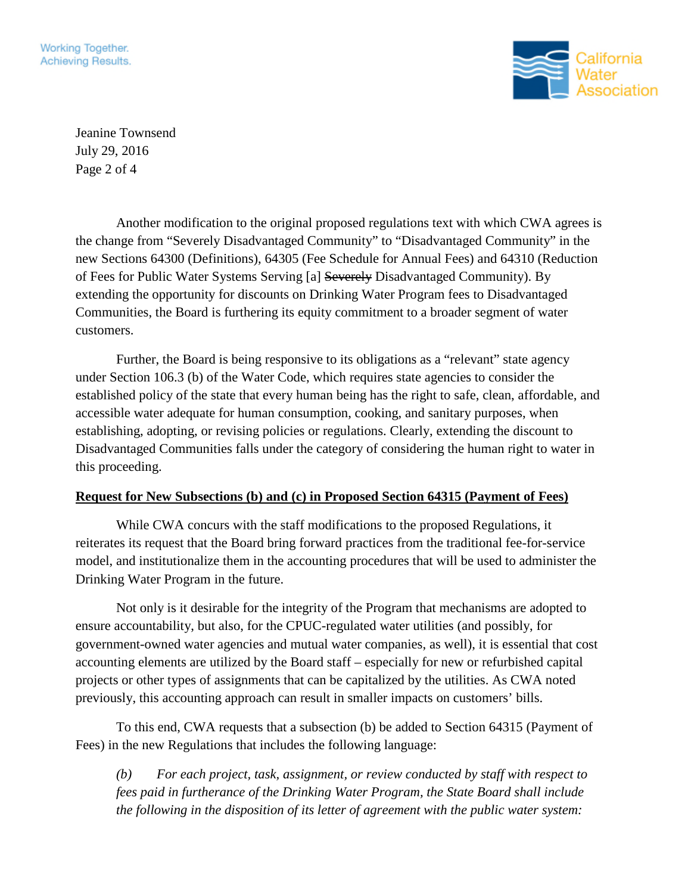Working Together. Achieving Results.



Jeanine Townsend July 29, 2016 Page 2 of 4

Another modification to the original proposed regulations text with which CWA agrees is the change from "Severely Disadvantaged Community" to "Disadvantaged Community" in the new Sections 64300 (Definitions), 64305 (Fee Schedule for Annual Fees) and 64310 (Reduction of Fees for Public Water Systems Serving [a] Severely Disadvantaged Community). By extending the opportunity for discounts on Drinking Water Program fees to Disadvantaged Communities, the Board is furthering its equity commitment to a broader segment of water customers.

Further, the Board is being responsive to its obligations as a "relevant" state agency under Section 106.3 (b) of the Water Code, which requires state agencies to consider the established policy of the state that every human being has the right to safe, clean, affordable, and accessible water adequate for human consumption, cooking, and sanitary purposes, when establishing, adopting, or revising policies or regulations. Clearly, extending the discount to Disadvantaged Communities falls under the category of considering the human right to water in this proceeding.

## **Request for New Subsections (b) and (c) in Proposed Section 64315 (Payment of Fees)**

While CWA concurs with the staff modifications to the proposed Regulations, it reiterates its request that the Board bring forward practices from the traditional fee-for-service model, and institutionalize them in the accounting procedures that will be used to administer the Drinking Water Program in the future.

Not only is it desirable for the integrity of the Program that mechanisms are adopted to ensure accountability, but also, for the CPUC-regulated water utilities (and possibly, for government-owned water agencies and mutual water companies, as well), it is essential that cost accounting elements are utilized by the Board staff – especially for new or refurbished capital projects or other types of assignments that can be capitalized by the utilities. As CWA noted previously, this accounting approach can result in smaller impacts on customers' bills.

To this end, CWA requests that a subsection (b) be added to Section 64315 (Payment of Fees) in the new Regulations that includes the following language:

*(b) For each project, task, assignment, or review conducted by staff with respect to fees paid in furtherance of the Drinking Water Program, the State Board shall include the following in the disposition of its letter of agreement with the public water system:*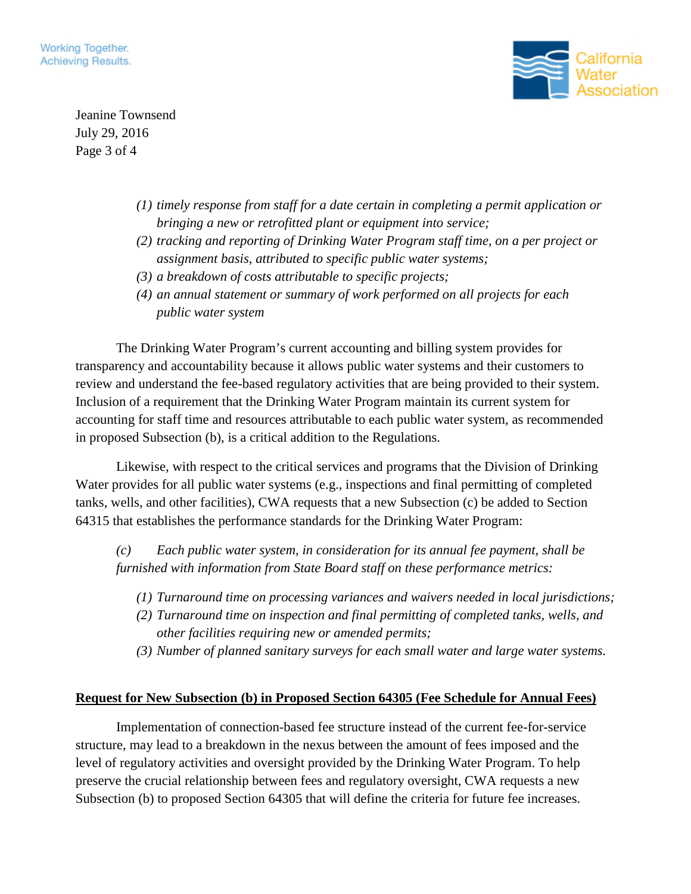

Jeanine Townsend July 29, 2016 Page 3 of 4

- *(1) timely response from staff for a date certain in completing a permit application or bringing a new or retrofitted plant or equipment into service;*
- *(2) tracking and reporting of Drinking Water Program staff time, on a per project or assignment basis, attributed to specific public water systems;*
- *(3) a breakdown of costs attributable to specific projects;*
- *(4) an annual statement or summary of work performed on all projects for each public water system*

The Drinking Water Program's current accounting and billing system provides for transparency and accountability because it allows public water systems and their customers to review and understand the fee-based regulatory activities that are being provided to their system. Inclusion of a requirement that the Drinking Water Program maintain its current system for accounting for staff time and resources attributable to each public water system, as recommended in proposed Subsection (b), is a critical addition to the Regulations.

Likewise, with respect to the critical services and programs that the Division of Drinking Water provides for all public water systems (e.g., inspections and final permitting of completed tanks, wells, and other facilities), CWA requests that a new Subsection (c) be added to Section 64315 that establishes the performance standards for the Drinking Water Program:

*(c) Each public water system, in consideration for its annual fee payment, shall be furnished with information from State Board staff on these performance metrics:*

- *(1) Turnaround time on processing variances and waivers needed in local jurisdictions;*
- *(2) Turnaround time on inspection and final permitting of completed tanks, wells, and other facilities requiring new or amended permits;*
- *(3) Number of planned sanitary surveys for each small water and large water systems.*

# **Request for New Subsection (b) in Proposed Section 64305 (Fee Schedule for Annual Fees)**

Implementation of connection-based fee structure instead of the current fee-for-service structure, may lead to a breakdown in the nexus between the amount of fees imposed and the level of regulatory activities and oversight provided by the Drinking Water Program. To help preserve the crucial relationship between fees and regulatory oversight, CWA requests a new Subsection (b) to proposed Section 64305 that will define the criteria for future fee increases.